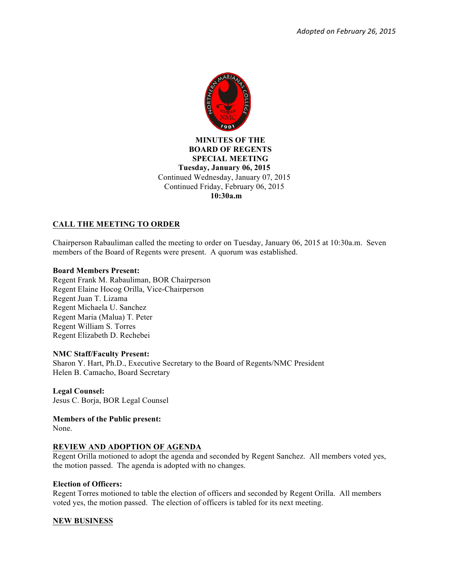

 **MINUTES OF THE BOARD OF REGENTS SPECIAL MEETING Tuesday, January 06, 2015**  Continued Wednesday, January 07, 2015 Continued Friday, February 06, 2015  **10:30a.m**

# **CALL THE MEETING TO ORDER**

Chairperson Rabauliman called the meeting to order on Tuesday, January 06, 2015 at 10:30a.m. Seven members of the Board of Regents were present. A quorum was established.

## **Board Members Present:**

Regent Frank M. Rabauliman, BOR Chairperson Regent Elaine Hocog Orilla, Vice-Chairperson Regent Juan T. Lizama Regent Michaela U. Sanchez Regent Maria (Malua) T. Peter Regent William S. Torres Regent Elizabeth D. Rechebei

### **NMC Staff/Faculty Present:**

Sharon Y. Hart, Ph.D., Executive Secretary to the Board of Regents/NMC President Helen B. Camacho, Board Secretary

**Legal Counsel:** Jesus C. Borja, BOR Legal Counsel

**Members of the Public present:** 

None.

## **REVIEW AND ADOPTION OF AGENDA**

Regent Orilla motioned to adopt the agenda and seconded by Regent Sanchez. All members voted yes, the motion passed. The agenda is adopted with no changes.

### **Election of Officers:**

Regent Torres motioned to table the election of officers and seconded by Regent Orilla. All members voted yes, the motion passed. The election of officers is tabled for its next meeting.

## **NEW BUSINESS**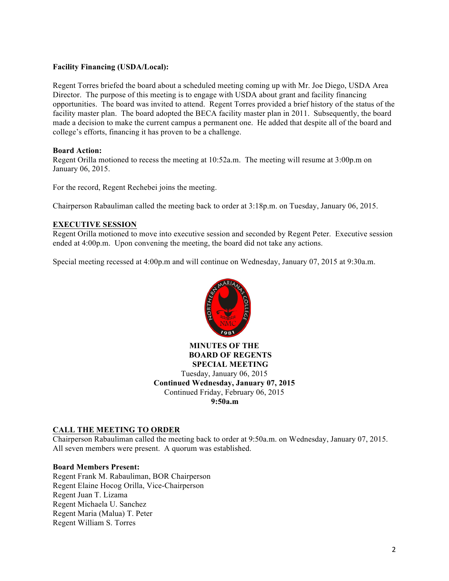## **Facility Financing (USDA/Local):**

Regent Torres briefed the board about a scheduled meeting coming up with Mr. Joe Diego, USDA Area Director. The purpose of this meeting is to engage with USDA about grant and facility financing opportunities. The board was invited to attend. Regent Torres provided a brief history of the status of the facility master plan. The board adopted the BECA facility master plan in 2011. Subsequently, the board made a decision to make the current campus a permanent one. He added that despite all of the board and college's efforts, financing it has proven to be a challenge.

### **Board Action:**

Regent Orilla motioned to recess the meeting at 10:52a.m. The meeting will resume at 3:00p.m on January 06, 2015.

For the record, Regent Rechebei joins the meeting.

Chairperson Rabauliman called the meeting back to order at 3:18p.m. on Tuesday, January 06, 2015.

### **EXECUTIVE SESSION**

Regent Orilla motioned to move into executive session and seconded by Regent Peter. Executive session ended at 4:00p.m. Upon convening the meeting, the board did not take any actions.

Special meeting recessed at 4:00p.m and will continue on Wednesday, January 07, 2015 at 9:30a.m.



**MINUTES OF THE BOARD OF REGENTS SPECIAL MEETING** Tuesday, January 06, 2015 **Continued Wednesday, January 07, 2015**  Continued Friday, February 06, 2015 **9:50a.m**

## **CALL THE MEETING TO ORDER**

Chairperson Rabauliman called the meeting back to order at 9:50a.m. on Wednesday, January 07, 2015. All seven members were present. A quorum was established.

#### **Board Members Present:**

Regent Frank M. Rabauliman, BOR Chairperson Regent Elaine Hocog Orilla, Vice-Chairperson Regent Juan T. Lizama Regent Michaela U. Sanchez Regent Maria (Malua) T. Peter Regent William S. Torres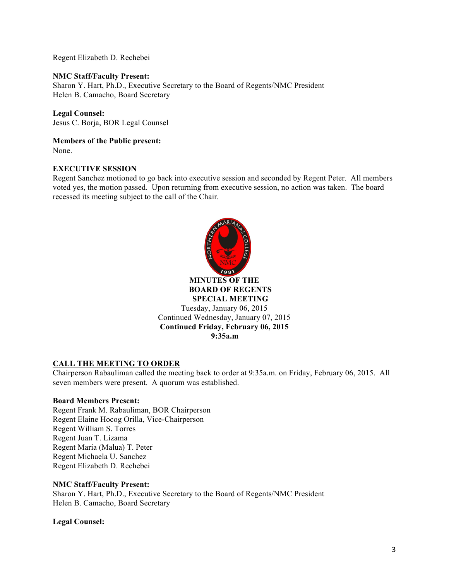Regent Elizabeth D. Rechebei

### **NMC Staff/Faculty Present:**

Sharon Y. Hart, Ph.D., Executive Secretary to the Board of Regents/NMC President Helen B. Camacho, Board Secretary

### **Legal Counsel:**

Jesus C. Borja, BOR Legal Counsel

**Members of the Public present:**  None.

### **EXECUTIVE SESSION**

Regent Sanchez motioned to go back into executive session and seconded by Regent Peter. All members voted yes, the motion passed. Upon returning from executive session, no action was taken. The board recessed its meeting subject to the call of the Chair.



### **CALL THE MEETING TO ORDER**

Chairperson Rabauliman called the meeting back to order at 9:35a.m. on Friday, February 06, 2015. All seven members were present. A quorum was established.

#### **Board Members Present:**

Regent Frank M. Rabauliman, BOR Chairperson Regent Elaine Hocog Orilla, Vice-Chairperson Regent William S. Torres Regent Juan T. Lizama Regent Maria (Malua) T. Peter Regent Michaela U. Sanchez Regent Elizabeth D. Rechebei

#### **NMC Staff/Faculty Present:**

Sharon Y. Hart, Ph.D., Executive Secretary to the Board of Regents/NMC President Helen B. Camacho, Board Secretary

**Legal Counsel:**